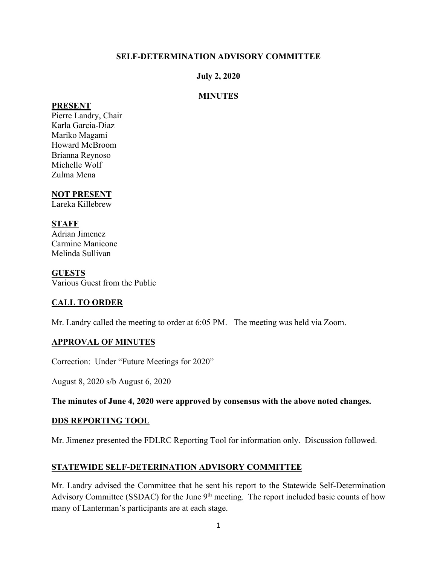### **SELF-DETERMINATION ADVISORY COMMITTEE**

#### **July 2, 2020**

#### **MINUTES**

#### **PRESENT**

Pierre Landry, Chair Karla Garcia-Diaz Mariko Magami Howard McBroom Brianna Reynoso Michelle Wolf Zulma Mena

## **NOT PRESENT**

Lareka Killebrew

#### **STAFF**

Adrian Jimenez Carmine Manicone Melinda Sullivan

#### **GUESTS**

Various Guest from the Public

# **CALL TO ORDER**

Mr. Landry called the meeting to order at 6:05 PM. The meeting was held via Zoom.

### **APPROVAL OF MINUTES**

Correction: Under "Future Meetings for 2020"

August 8, 2020 s/b August 6, 2020

**The minutes of June 4, 2020 were approved by consensus with the above noted changes.** 

#### **DDS REPORTING TOOL**

Mr. Jimenez presented the FDLRC Reporting Tool for information only. Discussion followed.

### **STATEWIDE SELF-DETERINATION ADVISORY COMMITTEE**

Mr. Landry advised the Committee that he sent his report to the Statewide Self-Determination Advisory Committee (SSDAC) for the June 9<sup>th</sup> meeting. The report included basic counts of how many of Lanterman's participants are at each stage.